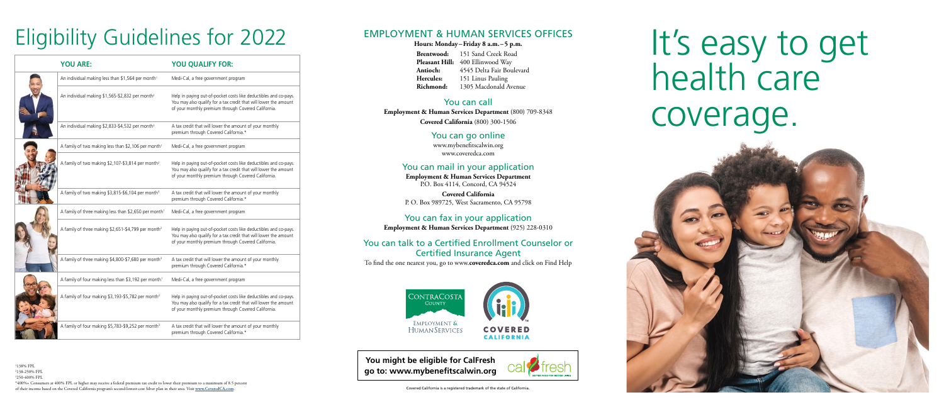# It's easy to get health care coverage.

**You might be eligible for CalFresh go to: www.mybenefitscalwin.org**



## Eligibility Guidelines for 2022

| <b>YOU ARE:</b>                                                   | YOU QUALIFY FOR:                                                                                                                                                                            |
|-------------------------------------------------------------------|---------------------------------------------------------------------------------------------------------------------------------------------------------------------------------------------|
| An individual making less than \$1,564 per month <sup>1</sup>     | Medi-Cal, a free government program                                                                                                                                                         |
| An individual making \$1,565-\$2,832 per month <sup>2</sup>       | Help in paying out-of-pocket costs like deductibles and co-pays.<br>You may also qualify for a tax credit that will lower the amount<br>of your monthly premium through Covered California. |
| An individual making \$2,833-\$4,532 per month <sup>3</sup>       | A tax credit that will lower the amount of your monthly<br>premium through Covered California.*                                                                                             |
| A family of two making less than \$2,106 per month <sup>1</sup>   | Medi-Cal, a free government program                                                                                                                                                         |
| A family of two making \$2,107-\$3,814 per month <sup>2</sup>     | Help in paying out-of-pocket costs like deductibles and co-pays.<br>You may also qualify for a tax credit that will lower the amount<br>of your monthly premium through Covered California. |
| A family of two making \$3,815-\$6,104 per month <sup>3</sup>     | A tax credit that will lower the amount of your monthly<br>premium through Covered California.*                                                                                             |
| A family of three making less than \$2,650 per month <sup>1</sup> | Medi-Cal, a free government program                                                                                                                                                         |
| A family of three making \$2,651-\$4,799 per month <sup>2</sup>   | Help in paying out-of-pocket costs like deductibles and co-pays.<br>You may also qualify for a tax credit that will lower the amount<br>of your monthly premium through Covered California. |
| A family of three making \$4,800-\$7,680 per month <sup>3</sup>   | A tax credit that will lower the amount of your monthly<br>premium through Covered California.*                                                                                             |
| A family of four making less than \$3,192 per month <sup>1</sup>  | Medi-Cal, a free government program                                                                                                                                                         |
| A family of four making \$3,193-\$5,782 per month <sup>2</sup>    | Help in paying out-of-pocket costs like deductibles and co-pays.<br>You may also qualify for a tax credit that will lower the amount<br>of your monthly premium through Covered California. |
| A family of four making \$5,783-\$9,252 per month <sup>3</sup>    | A tax credit that will lower the amount of your monthly<br>premium through Covered California.*                                                                                             |

#### EMPLOYMENT & HUMAN SERVICES OFFICES

#### **Hours: Monday–Friday 8 a.m.–5 p.m.**

**Brentwood:** 151 Sand Creek Road Pleasant Hill: 400 Ellinwood Way **Antioch:** 4545 Delta Fair Boulevard **Hercules:** 151 Linus Pauling **Richmond:** 1305 Macdonald Avenue

#### You can call

**Employment & Human Services Department** (800) 709-8348 **Covered California** (800) 300-1506

#### You can go online

www.mybenefitscalwin.org www.coveredca.com

#### You can mail in your application

**Employment & Human Services Department** P.O. Box 4114, Concord, CA 94524

**Covered California**  P. O. Box 989725, West Sacramento, CA 95798

#### You can fax in your application

**Employment & Human Services Department** (925) 228-0310

#### You can talk to a Certified Enrollment Counselor or Certified Insurance Agent

To find the one nearest you, go to www.**coveredca.com** and click on Find Help